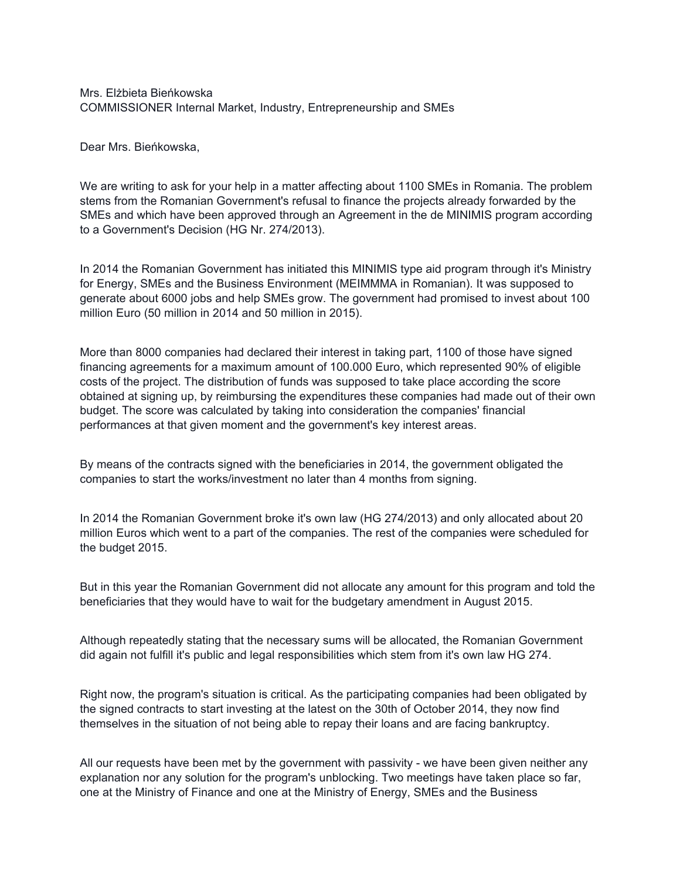Mrs. Elżbieta Bieńkowska COMMISSIONER Internal Market, Industry, Entrepreneurship and SMEs

Dear Mrs. Bieńkowska,

We are writing to ask for your help in a matter affecting about 1100 SMEs in Romania. The problem stems from the Romanian Government's refusal to finance the projects already forwarded by the SMEs and which have been approved through an Agreement in the de MINIMIS program according to a Government's Decision (HG Nr. 274/2013).

In 2014 the Romanian Government has initiated this MINIMIS type aid program through it's Ministry for Energy, SMEs and the Business Environment (MEIMMMA in Romanian). It was supposed to generate about 6000 jobs and help SMEs grow. The government had promised to invest about 100 million Euro (50 million in 2014 and 50 million in 2015).

More than 8000 companies had declared their interest in taking part, 1100 of those have signed financing agreements for a maximum amount of 100.000 Euro, which represented 90% of eligible costs of the project. The distribution of funds was supposed to take place according the score obtained at signing up, by reimbursing the expenditures these companies had made out of their own budget. The score was calculated by taking into consideration the companies' financial performances at that given moment and the government's key interest areas.

By means of the contracts signed with the beneficiaries in 2014, the government obligated the companies to start the works/investment no later than 4 months from signing.

In 2014 the Romanian Government broke it's own law (HG 274/2013) and only allocated about 20 million Euros which went to a part of the companies. The rest of the companies were scheduled for the budget 2015.

But in this year the Romanian Government did not allocate any amount for this program and told the beneficiaries that they would have to wait for the budgetary amendment in August 2015.

Although repeatedly stating that the necessary sums will be allocated, the Romanian Government did again not fulfill it's public and legal responsibilities which stem from it's own law HG 274.

Right now, the program's situation is critical. As the participating companies had been obligated by the signed contracts to start investing at the latest on the 30th of October 2014, they now find themselves in the situation of not being able to repay their loans and are facing bankruptcy.

All our requests have been met by the government with passivity - we have been given neither any explanation nor any solution for the program's unblocking. Two meetings have taken place so far, one at the Ministry of Finance and one at the Ministry of Energy, SMEs and the Business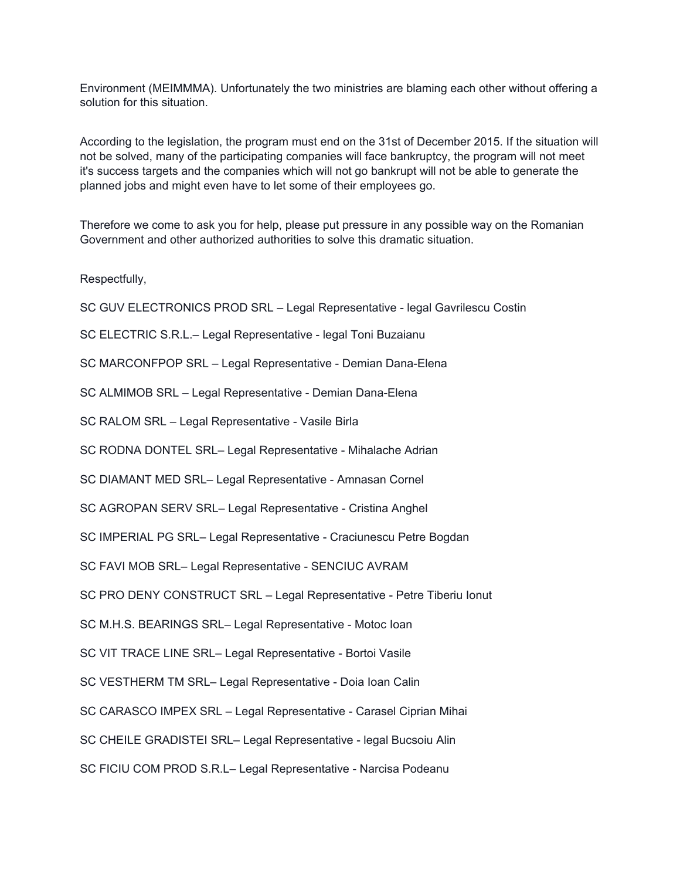Environment (MEIMMMA). Unfortunately the two ministries are blaming each other without offering a solution for this situation.

According to the legislation, the program must end on the 31st of December 2015. If the situation will not be solved, many of the participating companies will face bankruptcy, the program will not meet it's success targets and the companies which will not go bankrupt will not be able to generate the planned jobs and might even have to let some of their employees go.

Therefore we come to ask you for help, please put pressure in any possible way on the Romanian Government and other authorized authorities to solve this dramatic situation.

Respectfully,

SC GUV ELECTRONICS PROD SRL – Legal Representative - legal Gavrilescu Costin SC ELECTRIC S.R.L.– Legal Representative - legal Toni Buzaianu SC MARCONFPOP SRL – Legal Representative - Demian Dana-Elena SC ALMIMOB SRL – Legal Representative - Demian Dana-Elena SC RALOM SRL – Legal Representative - Vasile Birla SC RODNA DONTEL SRL– Legal Representative - Mihalache Adrian SC DIAMANT MED SRL– Legal Representative - Amnasan Cornel SC AGROPAN SERV SRL– Legal Representative - Cristina Anghel SC IMPERIAL PG SRL– Legal Representative - Craciunescu Petre Bogdan SC FAVI MOB SRL– Legal Representative - SENCIUC AVRAM SC PRO DENY CONSTRUCT SRL – Legal Representative - Petre Tiberiu Ionut SC M.H.S. BEARINGS SRL– Legal Representative - Motoc Ioan SC VIT TRACE LINE SRL– Legal Representative - Bortoi Vasile SC VESTHERM TM SRL– Legal Representative - Doia Ioan Calin SC CARASCO IMPEX SRL – Legal Representative - Carasel Ciprian Mihai SC CHEILE GRADISTEI SRL– Legal Representative - legal Bucsoiu Alin SC FICIU COM PROD S.R.L– Legal Representative - Narcisa Podeanu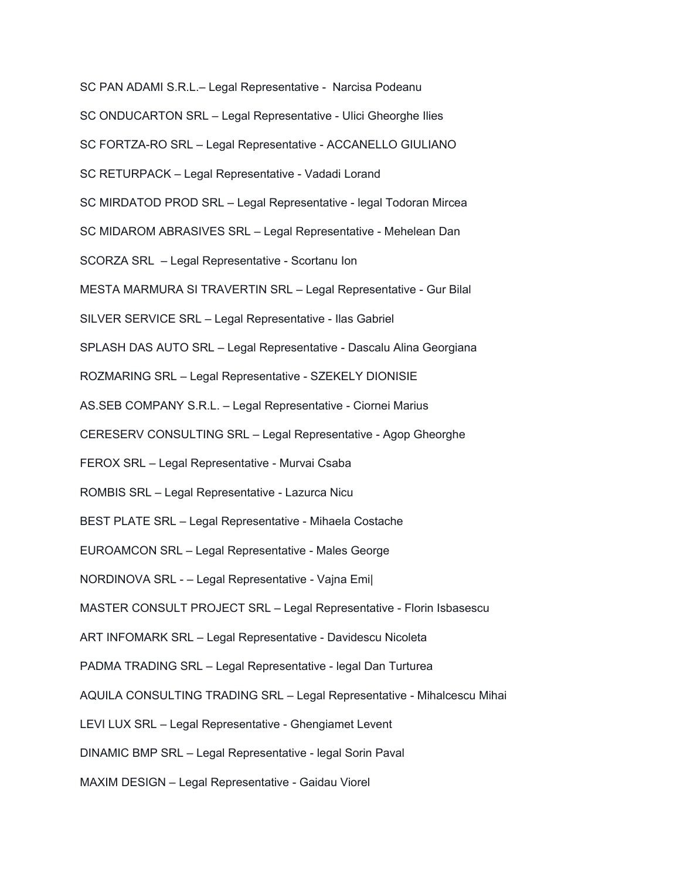SC PAN ADAMI S.R.L.– Legal Representative - Narcisa Podeanu

- SC ONDUCARTON SRL Legal Representative Ulici Gheorghe Ilies
- SC FORTZA-RO SRL Legal Representative ACCANELLO GIULIANO
- SC RETURPACK Legal Representative Vadadi Lorand
- SC MIRDATOD PROD SRL Legal Representative legal Todoran Mircea
- SC MIDAROM ABRASIVES SRL Legal Representative Mehelean Dan
- SCORZA SRL Legal Representative Scortanu Ion
- MESTA MARMURA SI TRAVERTIN SRL Legal Representative Gur Bilal
- SILVER SERVICE SRL Legal Representative Ilas Gabriel
- SPLASH DAS AUTO SRL Legal Representative Dascalu Alina Georgiana
- ROZMARING SRL Legal Representative SZEKELY DIONISIE
- AS.SEB COMPANY S.R.L. Legal Representative Ciornei Marius
- CERESERV CONSULTING SRL Legal Representative Agop Gheorghe
- FEROX SRL Legal Representative Murvai Csaba
- ROMBIS SRL Legal Representative Lazurca Nicu
- BEST PLATE SRL Legal Representative Mihaela Costache
- EUROAMCON SRL Legal Representative Males George
- NORDINOVA SRL – Legal Representative Vajna Emi|
- MASTER CONSULT PROJECT SRL Legal Representative Florin Isbasescu
- ART INFOMARK SRL Legal Representative Davidescu Nicoleta
- PADMA TRADING SRL Legal Representative legal Dan Turturea
- AQUILA CONSULTING TRADING SRL Legal Representative Mihalcescu Mihai
- LEVI LUX SRL Legal Representative Ghengiamet Levent
- DINAMIC BMP SRL Legal Representative legal Sorin Paval
- MAXIM DESIGN Legal Representative Gaidau Viorel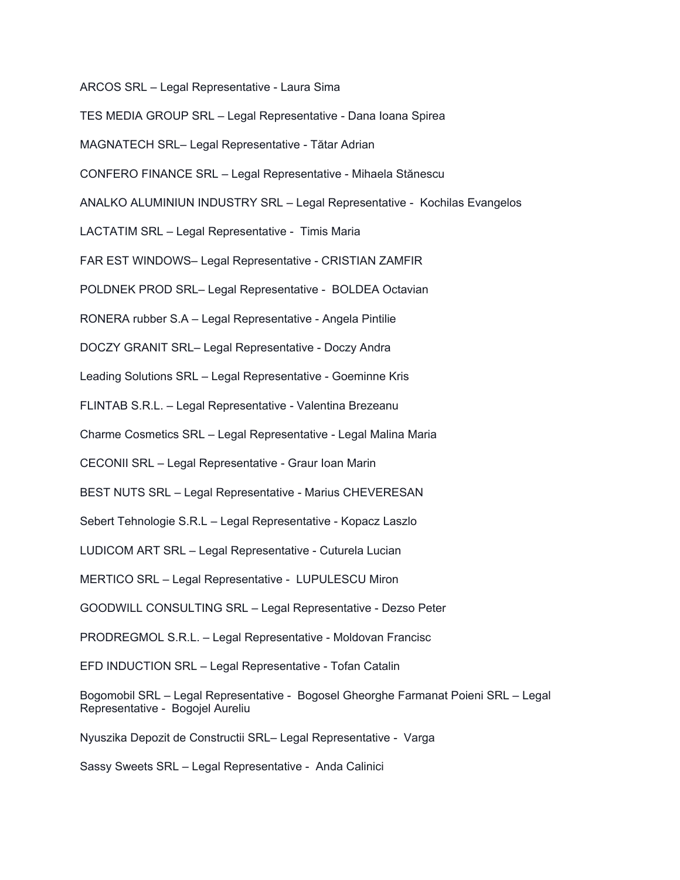ARCOS SRL – Legal Representative - Laura Sima

TES MEDIA GROUP SRL – Legal Representative - Dana Ioana Spirea

MAGNATECH SRL– Legal Representative - Tătar Adrian

CONFERO FINANCE SRL – Legal Representative - Mihaela Stănescu

ANALKO ALUMINIUN INDUSTRY SRL – Legal Representative - Kochilas Evangelos

LACTATIM SRL – Legal Representative - Timis Maria

FAR EST WINDOWS– Legal Representative - CRISTIAN ZAMFIR

POLDNEK PROD SRL– Legal Representative - BOLDEA Octavian

RONERA rubber S.A – Legal Representative - Angela Pintilie

DOCZY GRANIT SRL– Legal Representative - Doczy Andra

Leading Solutions SRL – Legal Representative - Goeminne Kris

FLINTAB S.R.L. – Legal Representative - Valentina Brezeanu

Charme Cosmetics SRL – Legal Representative - Legal Malina Maria

CECONII SRL – Legal Representative - Graur Ioan Marin

BEST NUTS SRL – Legal Representative - Marius CHEVERESAN

Sebert Tehnologie S.R.L – Legal Representative - Kopacz Laszlo

LUDICOM ART SRL – Legal Representative - Cuturela Lucian

MERTICO SRL – Legal Representative - LUPULESCU Miron

GOODWILL CONSULTING SRL – Legal Representative - Dezso Peter

PRODREGMOL S.R.L. – Legal Representative - Moldovan Francisc

EFD INDUCTION SRL – Legal Representative - Tofan Catalin

Bogomobil SRL – Legal Representative - Bogosel Gheorghe Farmanat Poieni SRL – Legal Representative - Bogojel Aureliu

Nyuszika Depozit de Constructii SRL– Legal Representative - Varga

Sassy Sweets SRL – Legal Representative - Anda Calinici